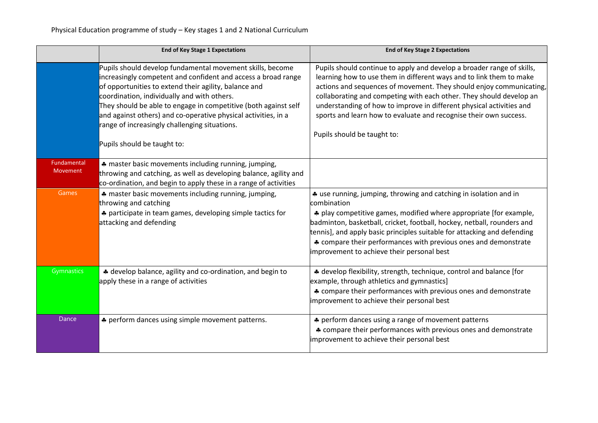|                         | <b>End of Key Stage 1 Expectations</b>                                                                                                                                                                                                                                                                                                                                                                                                                  | <b>End of Key Stage 2 Expectations</b>                                                                                                                                                                                                                                                                                                                                                                                                                                  |
|-------------------------|---------------------------------------------------------------------------------------------------------------------------------------------------------------------------------------------------------------------------------------------------------------------------------------------------------------------------------------------------------------------------------------------------------------------------------------------------------|-------------------------------------------------------------------------------------------------------------------------------------------------------------------------------------------------------------------------------------------------------------------------------------------------------------------------------------------------------------------------------------------------------------------------------------------------------------------------|
|                         | Pupils should develop fundamental movement skills, become<br>increasingly competent and confident and access a broad range<br>of opportunities to extend their agility, balance and<br>coordination, individually and with others.<br>They should be able to engage in competitive (both against self<br>and against others) and co-operative physical activities, in a<br>range of increasingly challenging situations.<br>Pupils should be taught to: | Pupils should continue to apply and develop a broader range of skills,<br>learning how to use them in different ways and to link them to make<br>actions and sequences of movement. They should enjoy communicating,<br>collaborating and competing with each other. They should develop an<br>understanding of how to improve in different physical activities and<br>sports and learn how to evaluate and recognise their own success.<br>Pupils should be taught to: |
| Fundamental<br>Movement | * master basic movements including running, jumping,<br>throwing and catching, as well as developing balance, agility and<br>co-ordination, and begin to apply these in a range of activities                                                                                                                                                                                                                                                           |                                                                                                                                                                                                                                                                                                                                                                                                                                                                         |
| Games                   | * master basic movements including running, jumping,<br>throwing and catching<br>* participate in team games, developing simple tactics for<br>attacking and defending                                                                                                                                                                                                                                                                                  | * use running, jumping, throwing and catching in isolation and in<br>combination<br>* play competitive games, modified where appropriate [for example,<br>badminton, basketball, cricket, football, hockey, netball, rounders and<br>tennis], and apply basic principles suitable for attacking and defending<br>* compare their performances with previous ones and demonstrate<br>improvement to achieve their personal best                                          |
| Gymnastics              | * develop balance, agility and co-ordination, and begin to<br>apply these in a range of activities                                                                                                                                                                                                                                                                                                                                                      | * develop flexibility, strength, technique, control and balance [for<br>example, through athletics and gymnastics]<br>* compare their performances with previous ones and demonstrate<br>improvement to achieve their personal best                                                                                                                                                                                                                                     |
| Dance                   | * perform dances using simple movement patterns.                                                                                                                                                                                                                                                                                                                                                                                                        | * perform dances using a range of movement patterns<br>* compare their performances with previous ones and demonstrate<br>improvement to achieve their personal best                                                                                                                                                                                                                                                                                                    |